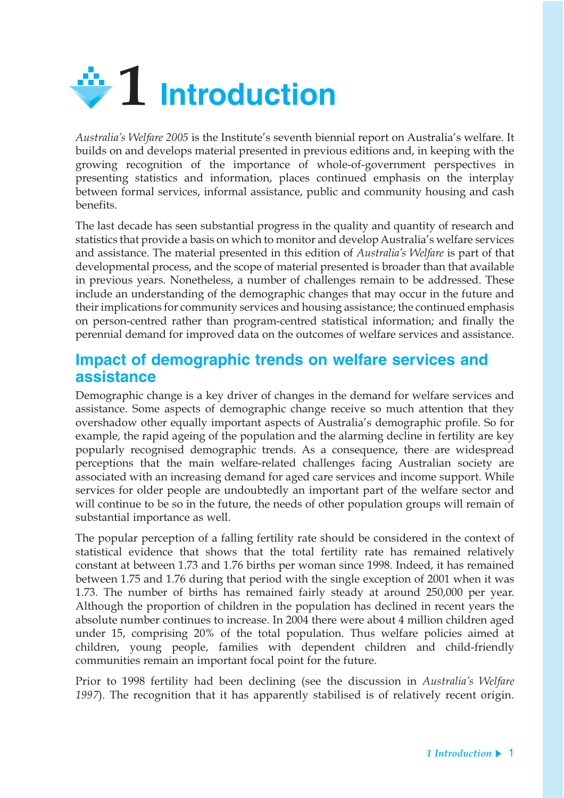

*Australia's Welfare 2005* is the Institute's seventh biennial report on Australia's welfare. It builds on and develops material presented in previous editions and, in keeping with the growing recognition of the importance of whole-of-government perspectives in presenting statistics and information, places continued emphasis on the interplay between formal services, informal assistance, public and community housing and cash benefits.

The last decade has seen substantial progress in the quality and quantity of research and statistics that provide a basis on which to monitor and develop Australia's welfare services and assistance. The material presented in this edition of *Australia's Welfare* is part of that developmental process, and the scope of material presented is broader than that available in previous years. Nonetheless, a number of challenges remain to be addressed. These include an understanding of the demographic changes that may occur in the future and their implications for community services and housing assistance; the continued emphasis on person-centred rather than program-centred statistical information; and finally the perennial demand for improved data on the outcomes of welfare services and assistance.

### **Impact of demographic trends on welfare services and assistance**

Demographic change is a key driver of changes in the demand for welfare services and assistance. Some aspects of demographic change receive so much attention that they overshadow other equally important aspects of Australia's demographic profile. So for example, the rapid ageing of the population and the alarming decline in fertility are key popularly recognised demographic trends. As a consequence, there are widespread perceptions that the main welfare-related challenges facing Australian society are associated with an increasing demand for aged care services and income support. While services for older people are undoubtedly an important part of the welfare sector and will continue to be so in the future, the needs of other population groups will remain of substantial importance as well.

The popular perception of a falling fertility rate should be considered in the context of statistical evidence that shows that the total fertility rate has remained relatively constant at between 1.73 and 1.76 births per woman since 1998. Indeed, it has remained between 1.75 and 1.76 during that period with the single exception of 2001 when it was 1.73. The number of births has remained fairly steady at around 250,000 per year. Although the proportion of children in the population has declined in recent years the absolute number continues to increase. In 2004 there were about 4 million children aged under 15, comprising 20% of the total population. Thus welfare policies aimed at children, young people, families with dependent children and child-friendly communities remain an important focal point for the future.

Prior to 1998 fertility had been declining (see the discussion in *Australia's Welfare 1997*). The recognition that it has apparently stabilised is of relatively recent origin.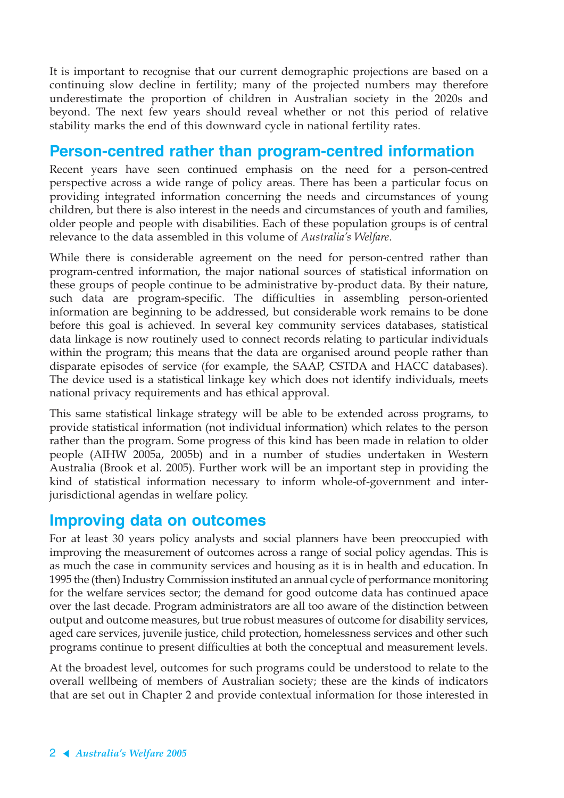It is important to recognise that our current demographic projections are based on a continuing slow decline in fertility; many of the projected numbers may therefore underestimate the proportion of children in Australian society in the 2020s and beyond. The next few years should reveal whether or not this period of relative stability marks the end of this downward cycle in national fertility rates.

# **Person-centred rather than program-centred information**

Recent years have seen continued emphasis on the need for a person-centred perspective across a wide range of policy areas. There has been a particular focus on providing integrated information concerning the needs and circumstances of young children, but there is also interest in the needs and circumstances of youth and families, older people and people with disabilities. Each of these population groups is of central relevance to the data assembled in this volume of *Australia's Welfare*.

While there is considerable agreement on the need for person-centred rather than program-centred information, the major national sources of statistical information on these groups of people continue to be administrative by-product data. By their nature, such data are program-specific. The difficulties in assembling person-oriented information are beginning to be addressed, but considerable work remains to be done before this goal is achieved. In several key community services databases, statistical data linkage is now routinely used to connect records relating to particular individuals within the program; this means that the data are organised around people rather than disparate episodes of service (for example, the SAAP, CSTDA and HACC databases). The device used is a statistical linkage key which does not identify individuals, meets national privacy requirements and has ethical approval.

This same statistical linkage strategy will be able to be extended across programs, to provide statistical information (not individual information) which relates to the person rather than the program. Some progress of this kind has been made in relation to older people (AIHW 2005a, 2005b) and in a number of studies undertaken in Western Australia (Brook et al. 2005). Further work will be an important step in providing the kind of statistical information necessary to inform whole-of-government and interjurisdictional agendas in welfare policy.

#### **Improving data on outcomes**

For at least 30 years policy analysts and social planners have been preoccupied with improving the measurement of outcomes across a range of social policy agendas. This is as much the case in community services and housing as it is in health and education. In 1995 the (then) Industry Commission instituted an annual cycle of performance monitoring for the welfare services sector; the demand for good outcome data has continued apace over the last decade. Program administrators are all too aware of the distinction between output and outcome measures, but true robust measures of outcome for disability services, aged care services, juvenile justice, child protection, homelessness services and other such programs continue to present difficulties at both the conceptual and measurement levels.

At the broadest level, outcomes for such programs could be understood to relate to the overall wellbeing of members of Australian society; these are the kinds of indicators that are set out in Chapter 2 and provide contextual information for those interested in